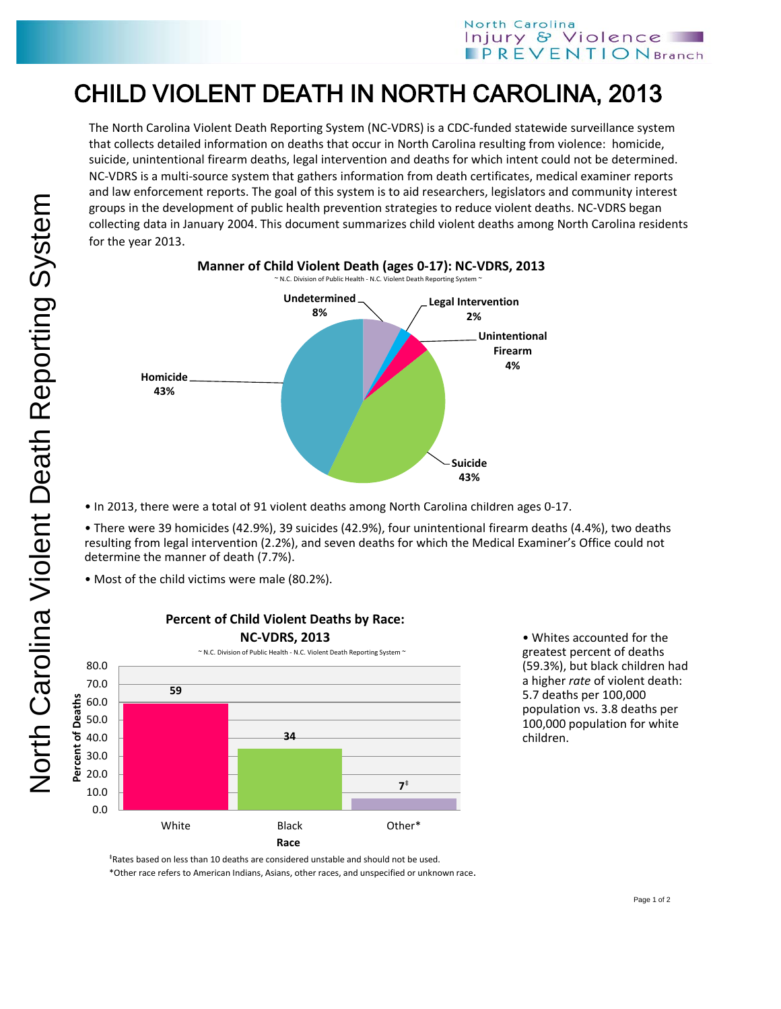## CHILD VIOLENT DEATH IN NORTH CAROLINA, 2013

The North Carolina Violent Death Reporting System (NC-VDRS) is a CDC-funded statewide surveillance system that collects detailed information on deaths that occur in North Carolina resulting from violence: homicide, suicide, unintentional firearm deaths, legal intervention and deaths for which intent could not be determined. NC-VDRS is a multi-source system that gathers information from death certificates, medical examiner reports and law enforcement reports. The goal of this system is to aid researchers, legislators and community interest groups in the development of public health prevention strategies to reduce violent deaths. NC-VDRS began collecting data in January 2004. This document summarizes child violent deaths among North Carolina residents for the year 2013.



• In 2013, there were a total of 91 violent deaths among North Carolina children ages 0-17.

• There were 39 homicides (42.9%), 39 suicides (42.9%), four unintentional firearm deaths (4.4%), two deaths resulting from legal intervention (2.2%), and seven deaths for which the Medical Examiner's Office could not determine the manner of death (7.7%).

• Most of the child victims were male (80.2%).



**Percent of Child Violent Deaths by Race:**

• Whites accounted for the greatest percent of deaths (59.3%), but black children had a higher *rate* of violent death: 5.7 deaths per 100,000 population vs. 3.8 deaths per 100,000 population for white children.

‡Rates based on less than 10 deaths are considered unstable and should not be used.

\*Other race refers to American Indians, Asians, other races, and unspecified or unknown race.